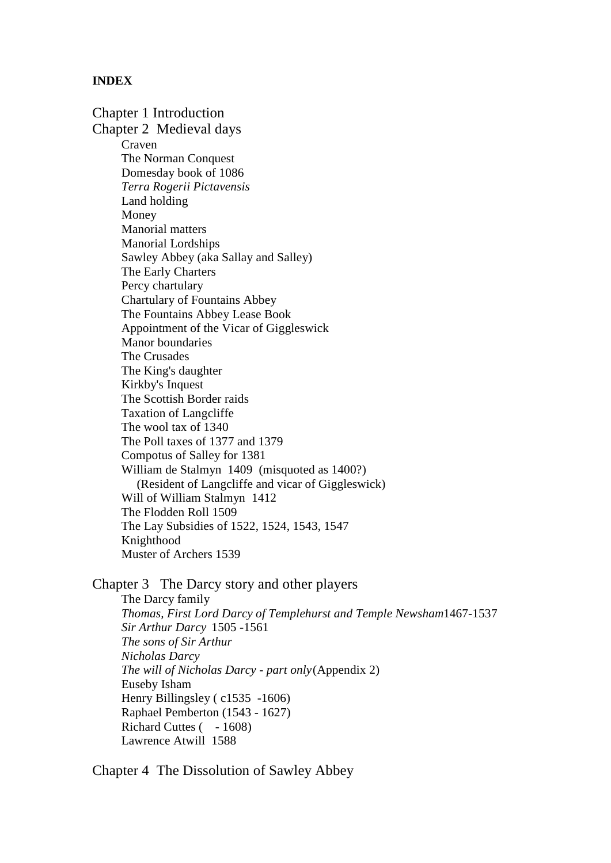#### **INDEX**

Chapter 1 Introduction Chapter 2 Medieval days Craven The Norman Conquest Domesday book of 1086 *Terra Rogerii Pictavensis* Land holding Money Manorial matters Manorial Lordships Sawley Abbey (aka Sallay and Salley) The Early Charters Percy chartulary Chartulary of Fountains Abbey The Fountains Abbey Lease Book Appointment of the Vicar of Giggleswick Manor boundaries The Crusades The King's daughter Kirkby's Inquest The Scottish Border raids Taxation of Langcliffe The wool tax of 1340 The Poll taxes of 1377 and 1379 Compotus of Salley for 1381 William de Stalmyn 1409 (misquoted as 1400?) (Resident of Langcliffe and vicar of Giggleswick) Will of William Stalmyn 1412 The Flodden Roll 1509 The Lay Subsidies of 1522, 1524, 1543, 1547 Knighthood Muster of Archers 1539

Chapter 3 The Darcy story and other players

The Darcy family *Thomas, First Lord Darcy of Templehurst and Temple Newsham*1467-1537 *Sir Arthur Darcy* 1505 -1561 *The sons of Sir Arthur Nicholas Darcy The will of Nicholas Darcy - part only*(Appendix 2) Euseby Isham Henry Billingsley ( c1535 -1606) Raphael Pemberton (1543 - 1627) Richard Cuttes ( - 1608) Lawrence Atwill 1588

Chapter 4 The Dissolution of Sawley Abbey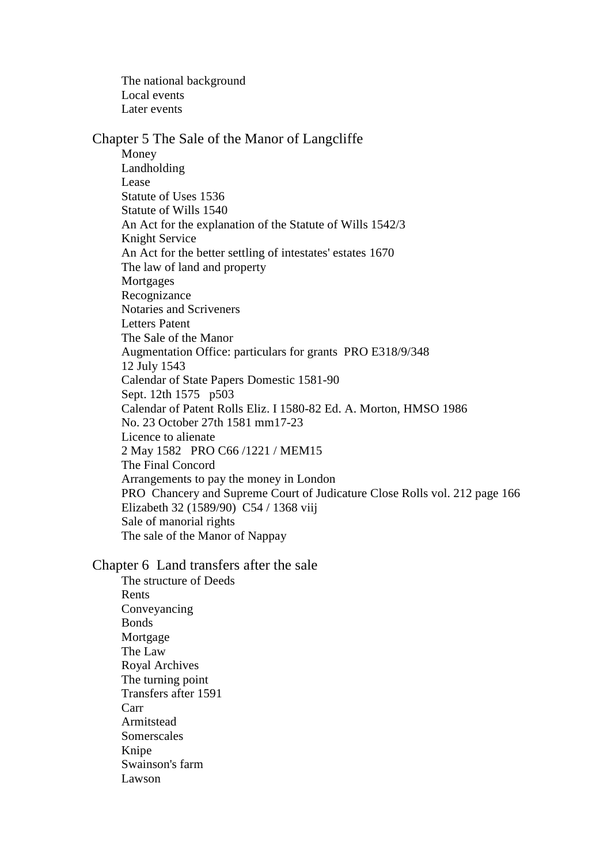The national background Local events Later events

### Chapter 5 The Sale of the Manor of Langcliffe Money Landholding Lease Statute of Uses 1536 Statute of Wills 1540 An Act for the explanation of the Statute of Wills 1542/3 Knight Service An Act for the better settling of intestates' estates 1670 The law of land and property Mortgages Recognizance Notaries and Scriveners Letters Patent The Sale of the Manor Augmentation Office: particulars for grants PRO E318/9/348 12 July 1543 Calendar of State Papers Domestic 1581-90 Sept. 12th 1575 p503 Calendar of Patent Rolls Eliz. I 1580-82 Ed. A. Morton, HMSO 1986 No. 23 October 27th 1581 mm17-23 Licence to alienate 2 May 1582 PRO C66 /1221 / MEM15 The Final Concord Arrangements to pay the money in London PRO Chancery and Supreme Court of Judicature Close Rolls vol. 212 page 166 Elizabeth 32 (1589/90) C54 / 1368 viij Sale of manorial rights The sale of the Manor of Nappay

Chapter 6 Land transfers after the sale

The structure of Deeds Rents Conveyancing Bonds Mortgage The Law Royal Archives The turning point Transfers after 1591 Carr Armitstead Somerscales Knipe Swainson's farm Lawson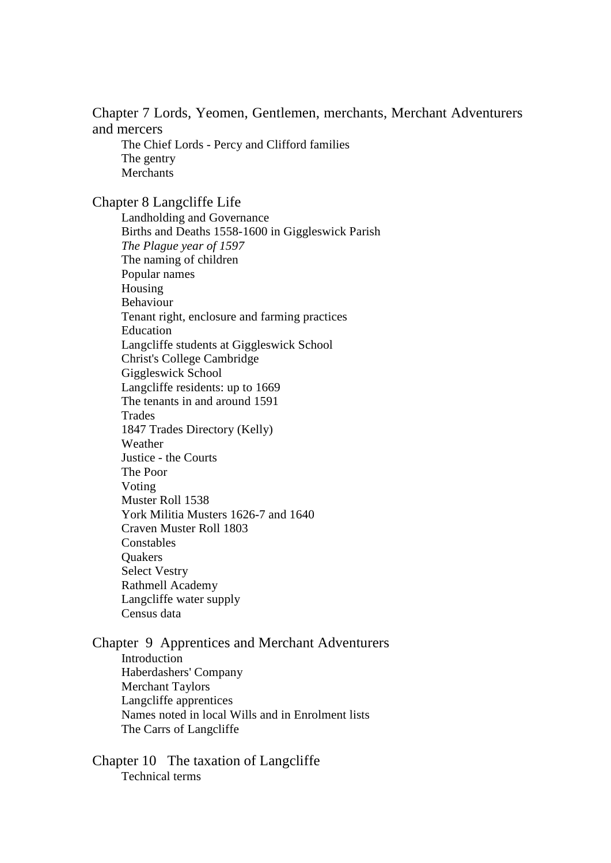Chapter 7 Lords, Yeomen, Gentlemen, merchants, Merchant Adventurers and mercers

The Chief Lords - Percy and Clifford families The gentry Merchants

Chapter 8 Langcliffe Life

Landholding and Governance Births and Deaths 1558-1600 in Giggleswick Parish *The Plague year of 1597* The naming of children Popular names Housing Behaviour Tenant right, enclosure and farming practices Education Langcliffe students at Giggleswick School Christ's College Cambridge Giggleswick School Langcliffe residents: up to 1669 The tenants in and around 1591 Trades 1847 Trades Directory (Kelly) Weather Justice - the Courts The Poor Voting Muster Roll 1538 York Militia Musters 1626-7 and 1640 Craven Muster Roll 1803 Constables **Ouakers** Select Vestry Rathmell Academy Langcliffe water supply Census data

Chapter 9 Apprentices and Merchant Adventurers Introduction Haberdashers' Company Merchant Taylors Langcliffe apprentices Names noted in local Wills and in Enrolment lists The Carrs of Langcliffe

Chapter 10 The taxation of Langcliffe Technical terms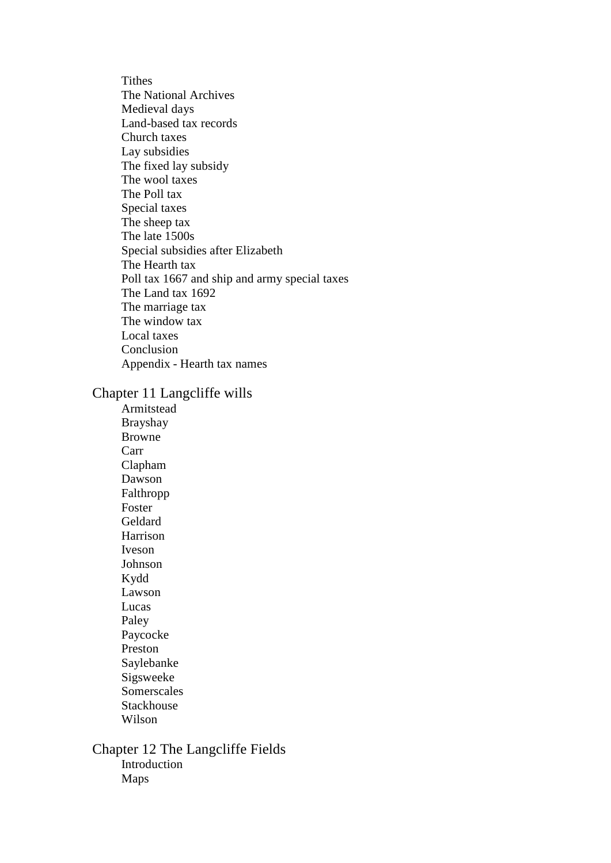**Tithes** The National Archives Medieval days Land-based tax records Church taxes Lay subsidies The fixed lay subsidy The wool taxes The Poll tax Special taxes The sheep tax The late 1500s Special subsidies after Elizabeth The Hearth tax Poll tax 1667 and ship and army special taxes The Land tax 1692 The marriage tax The window tax Local taxes Conclusion Appendix *-* Hearth tax names

Chapter 11 Langcliffe wills

Armitstead Brayshay Browne Carr Clapham Dawson Falthropp Foster Geldard Harrison Iveson Johnson Kydd Lawson Lucas Paley Paycocke Preston Saylebanke Sigsweeke Somerscales Stackhouse Wilson

Chapter 12 The Langcliffe Fields Introduction Maps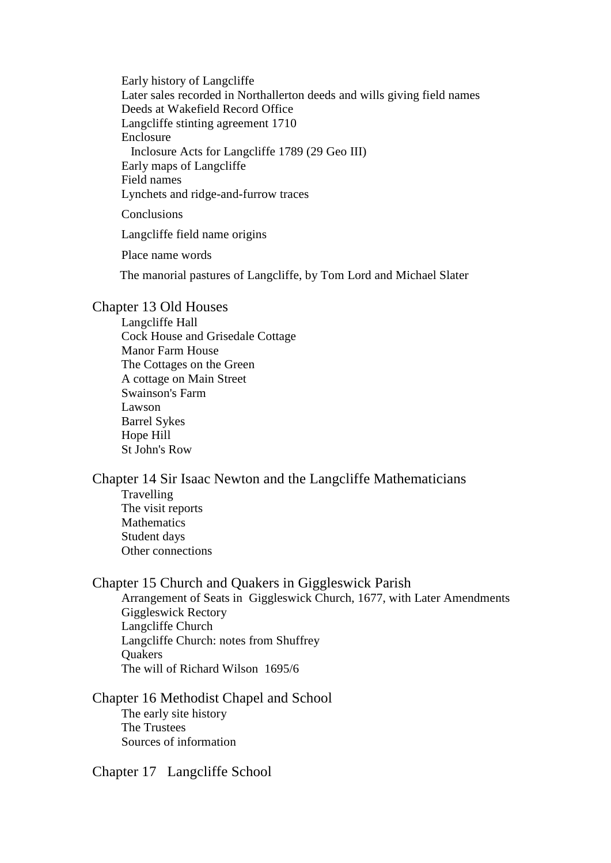Early history of Langcliffe Later sales recorded in Northallerton deeds and wills giving field names Deeds at Wakefield Record Office Langcliffe stinting agreement 1710 Enclosure Inclosure Acts for Langcliffe 1789 (29 Geo III) Early maps of Langcliffe Field names Lynchets and ridge-and-furrow traces

Conclusions

Langcliffe field name origins

Place name words

The manorial pastures of Langcliffe, by Tom Lord and Michael Slater

#### Chapter 13 Old Houses

Langcliffe Hall Cock House and Grisedale Cottage Manor Farm House The Cottages on the Green A cottage on Main Street Swainson's Farm Lawson Barrel Sykes Hope Hill St John's Row

#### Chapter 14 Sir Isaac Newton and the Langcliffe Mathematicians Travelling

The visit reports Mathematics Student days Other connections

#### Chapter 15 Church and Quakers in Giggleswick Parish

Arrangement of Seats in Giggleswick Church, 1677, with Later Amendments Giggleswick Rectory Langcliffe Church Langcliffe Church: notes from Shuffrey **Ouakers** The will of Richard Wilson 1695/6

#### Chapter 16 Methodist Chapel and School The early site history The Trustees Sources of information

Chapter 17 Langcliffe School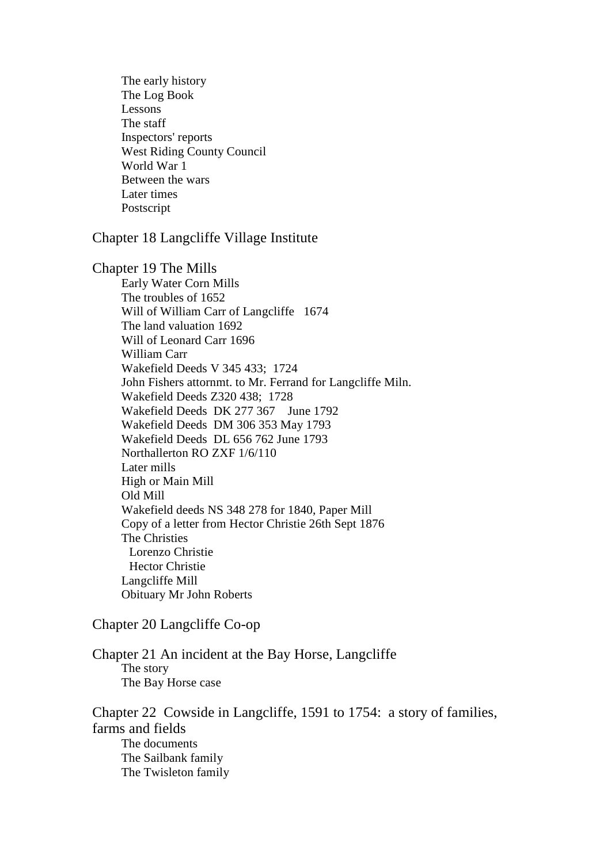The early history The Log Book Lessons The staff Inspectors' reports West Riding County Council World War 1 Between the wars Later times Postscript

Chapter 18 Langcliffe Village Institute

Chapter 19 The Mills Early Water Corn Mills The troubles of 1652 Will of William Carr of Langcliffe 1674 The land valuation 1692 Will of Leonard Carr 1696 William Carr Wakefield Deeds V 345 433; 1724 John Fishers attornmt. to Mr. Ferrand for Langcliffe Miln. Wakefield Deeds Z320 438; 1728 Wakefield Deeds DK 277 367 June 1792 Wakefield Deeds DM 306 353 May 1793 Wakefield Deeds DL 656 762 June 1793 Northallerton RO ZXF 1/6/110 Later mills High or Main Mill Old Mill Wakefield deeds NS 348 278 for 1840, Paper Mill Copy of a letter from Hector Christie 26th Sept 1876 The Christies Lorenzo Christie Hector Christie Langcliffe Mill Obituary Mr John Roberts

Chapter 20 Langcliffe Co-op

Chapter 21 An incident at the Bay Horse, Langcliffe The story The Bay Horse case

Chapter 22 Cowside in Langcliffe, 1591 to 1754: a story of families, farms and fields The documents The Sailbank family The Twisleton family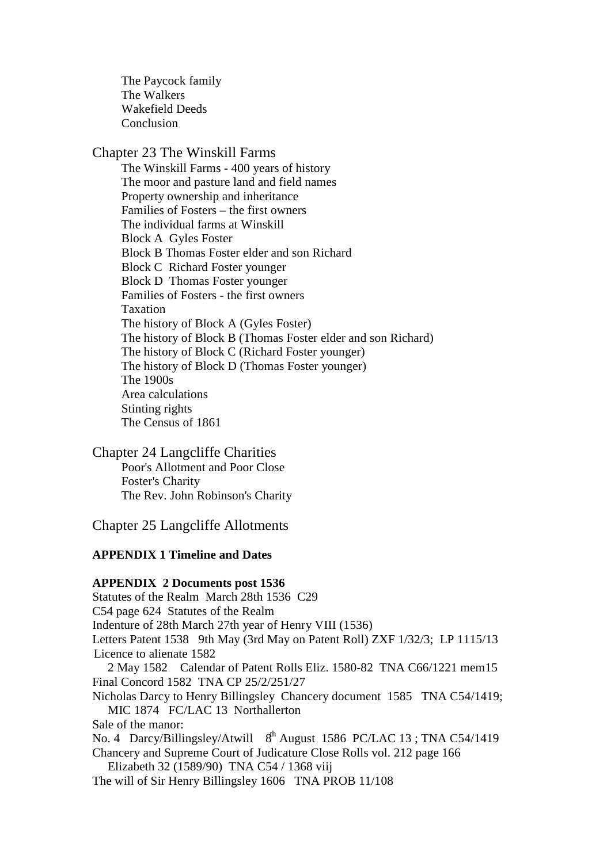The Paycock family The Walkers Wakefield Deeds Conclusion

#### Chapter 23 The Winskill Farms

The Winskill Farms - 400 years of history The moor and pasture land and field names Property ownership and inheritance Families of Fosters – the first owners The individual farms at Winskill Block A Gyles Foster Block B Thomas Foster elder and son Richard Block C Richard Foster younger Block D Thomas Foster younger Families of Fosters - the first owners Taxation The history of Block A (Gyles Foster) The history of Block B (Thomas Foster elder and son Richard) The history of Block C (Richard Foster younger) The history of Block D (Thomas Foster younger) The 1900s Area calculations Stinting rights The Census of 1861

Chapter 24 Langcliffe Charities Poor's Allotment and Poor Close Foster's Charity The Rev. John Robinson's Charity

Chapter 25 Langcliffe Allotments

#### **APPENDIX 1 Timeline and Dates**

#### **APPENDIX 2 Documents post 1536**

Statutes of the Realm March 28th 1536 C29 C54 page 624 Statutes of the Realm Indenture of 28th March 27th year of Henry VIII (1536) Letters Patent 1538 9th May (3rd May on Patent Roll) ZXF 1/32/3; LP 1115/13 Licence to alienate 1582 2 May 1582 Calendar of Patent Rolls Eliz. 1580-82 TNA C66/1221 mem15 Final Concord 1582 TNA CP 25/2/251/27 Nicholas Darcy to Henry Billingsley Chancery document 1585 TNA C54/1419; MIC 1874 FC/LAC 13 Northallerton Sale of the manor: No. 4 Darcy/Billingsley/Atwill 8<sup>th</sup> August 1586 PC/LAC 13 : TNA C54/1419 Chancery and Supreme Court of Judicature Close Rolls vol. 212 page 166 Elizabeth 32 (1589/90) TNA C54 / 1368 viij The will of Sir Henry Billingsley 1606 TNA PROB 11/108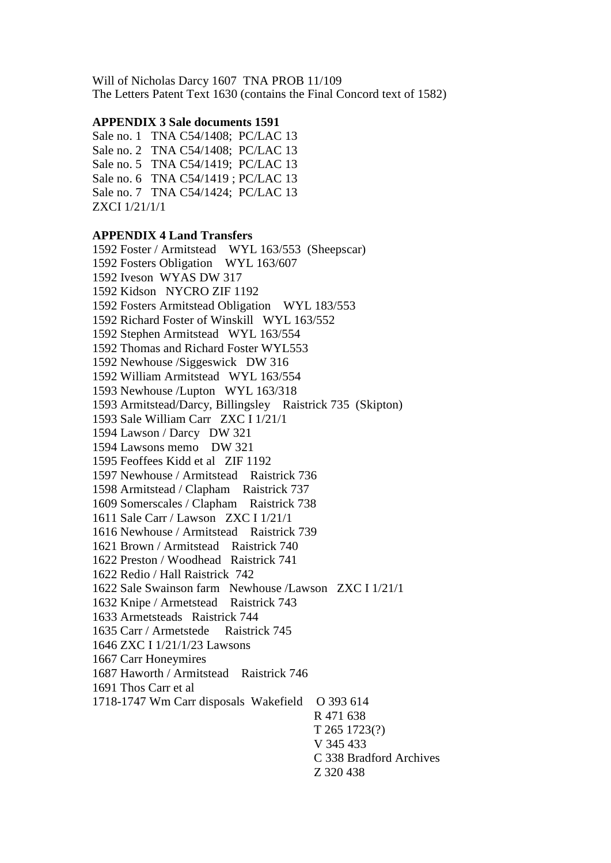Will of Nicholas Darcy 1607 TNA PROB 11/109 The Letters Patent Text 1630 (contains the Final Concord text of 1582)

#### **APPENDIX 3 Sale documents 1591**

Sale no. 1 TNA C54/1408; PC/LAC 13 Sale no. 2 TNA C54/1408; PC/LAC 13 Sale no. 5 TNA C54/1419; PC/LAC 13 Sale no. 6 TNA C54/1419 ; PC/LAC 13 Sale no. 7 TNA C54/1424; PC/LAC 13 ZXCI 1/21/1/1

#### **APPENDIX 4 Land Transfers**

1592 Foster / Armitstead WYL 163/553 (Sheepscar) 1592 Fosters Obligation WYL 163/607 1592 Iveson WYAS DW 317 1592 Kidson NYCRO ZIF 1192 1592 Fosters Armitstead Obligation WYL 183/553 1592 Richard Foster of Winskill WYL 163/552 1592 Stephen Armitstead WYL 163/554 1592 Thomas and Richard Foster WYL553 1592 Newhouse /Siggeswick DW 316 1592 William Armitstead WYL 163/554 1593 Newhouse /Lupton WYL 163/318 1593 Armitstead/Darcy, Billingsley Raistrick 735 (Skipton) 1593 Sale William Carr ZXC I 1/21/1 1594 Lawson / Darcy DW 321 1594 Lawsons memo DW 321 1595 Feoffees Kidd et al ZIF 1192 1597 Newhouse / Armitstead Raistrick 736 1598 Armitstead / Clapham Raistrick 737 1609 Somerscales / Clapham Raistrick 738 1611 Sale Carr / Lawson ZXC I 1/21/1 1616 Newhouse / Armitstead Raistrick 739 1621 Brown / Armitstead Raistrick 740 1622 Preston / Woodhead Raistrick 741 1622 Redio / Hall Raistrick 742 1622 Sale Swainson farm Newhouse /Lawson ZXC I 1/21/1 1632 Knipe / Armetstead Raistrick 743 1633 Armetsteads Raistrick 744 1635 Carr / Armetstede Raistrick 745 1646 ZXC I 1/21/1/23 Lawsons 1667 Carr Honeymires 1687 Haworth / Armitstead Raistrick 746 1691 Thos Carr et al 1718-1747 Wm Carr disposals Wakefield O 393 614 R 471 638 T 265 1723(?) V 345 433 C 338 Bradford Archives Z 320 438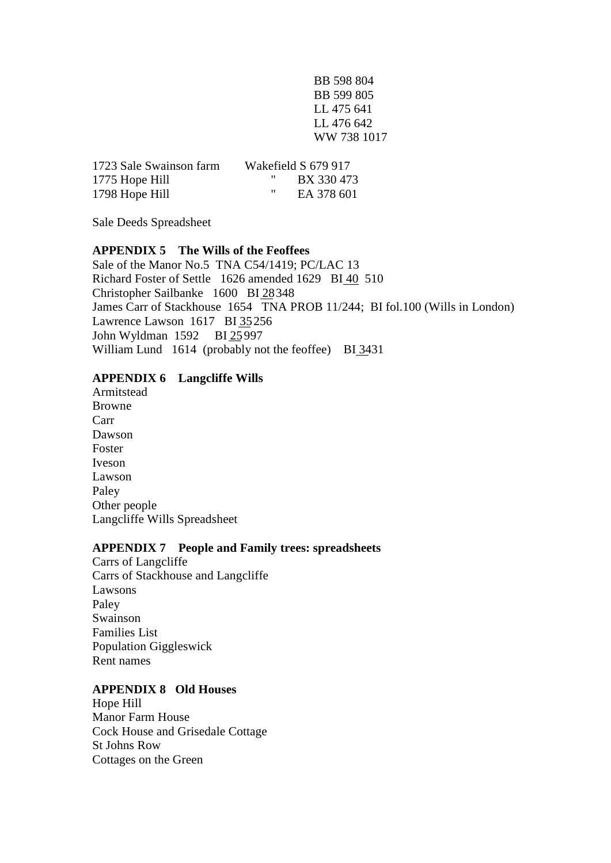BB 598 804 BB 599 805 LL 475 641 LL 476 642 WW 738 1017

| 1723 Sale Swainson farm | Wakefield S 679 917 |
|-------------------------|---------------------|
| 1775 Hope Hill          | BX 330 473          |
| 1798 Hope Hill          | ,,<br>EA 378 601    |

Sale Deeds Spreadsheet

#### **APPENDIX 5 The Wills of the Feoffees**

Sale of the Manor No.5 TNA C54/1419; PC/LAC 13 Richard Foster of Settle 1626 amended 1629 BI 40 510 Christopher Sailbanke 1600 BI 28348 James Carr of Stackhouse 1654 TNA PROB 11/244; BI fol.100 (Wills in London) Lawrence Lawson 1617 BI 35256 John Wyldman 1592 BI 25997 William Lund 1614 (probably not the feoffee) BI 3431

#### **APPENDIX 6 Langcliffe Wills**

Armitstead Browne Carr Dawson Foster Iveson Lawson Paley Other people Langcliffe Wills Spreadsheet

#### **APPENDIX 7 People and Family trees: spreadsheets**

Carrs of Langcliffe Carrs of Stackhouse and Langcliffe Lawsons Paley Swainson Families List Population Giggleswick Rent names

#### **APPENDIX 8 Old Houses**

Hope Hill Manor Farm House Cock House and Grisedale Cottage St Johns Row Cottages on the Green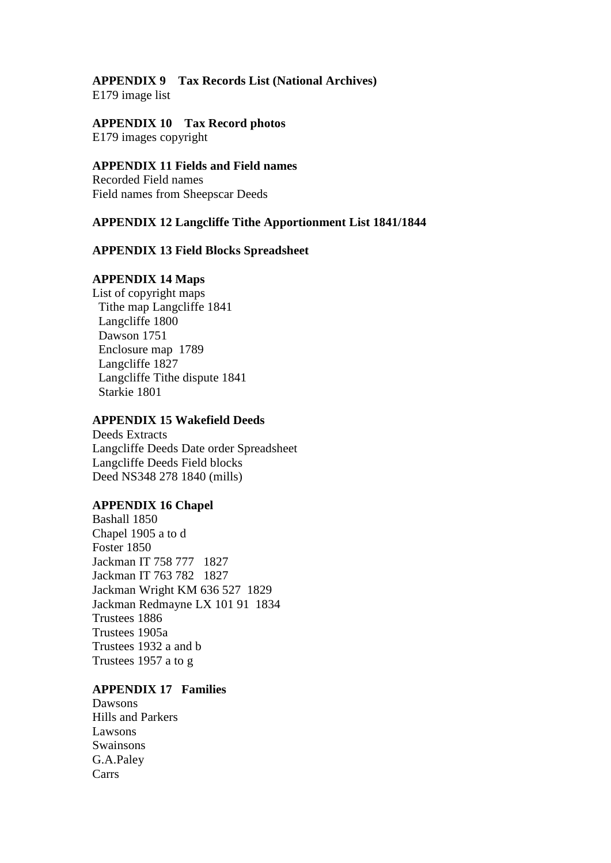# **APPENDIX 9 Tax Records List (National Archives)**

E179 image list

# **APPENDIX 10 Tax Record photos**

E179 images copyright

## **APPENDIX 11 Fields and Field names**

Recorded Field names Field names from Sheepscar Deeds

### **APPENDIX 12 Langcliffe Tithe Apportionment List 1841/1844**

#### **APPENDIX 13 Field Blocks Spreadsheet**

#### **APPENDIX 14 Maps**

List of copyright maps Tithe map Langcliffe 1841 Langcliffe 1800 Dawson 1751 Enclosure map 1789 Langcliffe 1827 Langcliffe Tithe dispute 1841 Starkie 1801

#### **APPENDIX 15 Wakefield Deeds**

Deeds Extracts Langcliffe Deeds Date order Spreadsheet Langcliffe Deeds Field blocks Deed NS348 278 1840 (mills)

#### **APPENDIX 16 Chapel**

Bashall 1850 Chapel 1905 a to d Foster 1850 Jackman IT 758 777 1827 Jackman IT 763 782 1827 Jackman Wright KM 636 527 1829 Jackman Redmayne LX 101 91 1834 Trustees 1886 Trustees 1905a Trustees 1932 a and b Trustees 1957 a to g

## **APPENDIX 17 Families**

Dawsons Hills and Parkers Lawsons Swainsons G.A.Paley Carrs